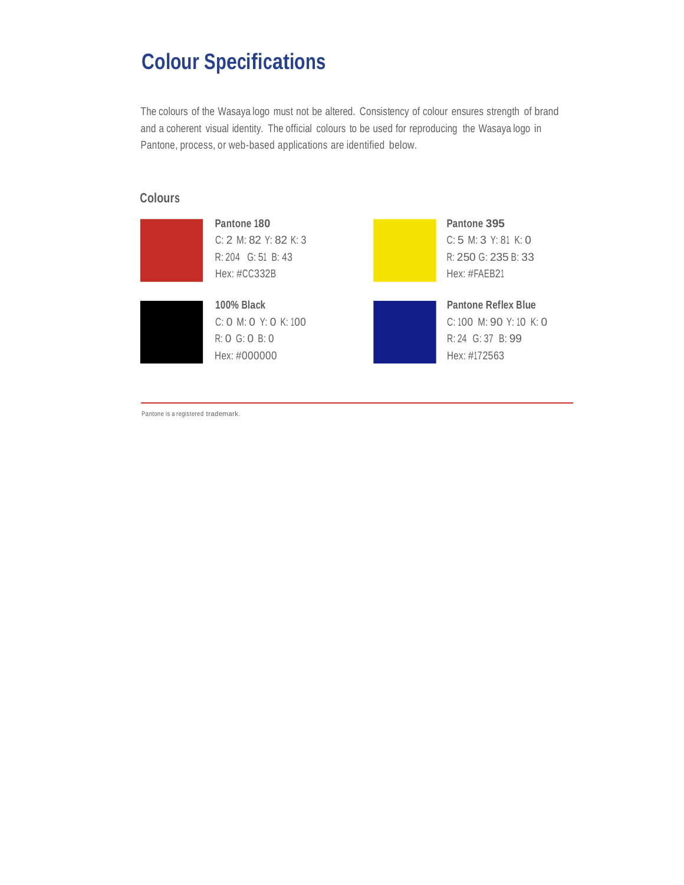### **Colour Specifications**

The colours of the Wasaya logo must not be altered. Consistency of colour ensures strength of brand and a coherent visual identity. The official colours to be used for reproducing the Wasaya logo in Pantone, process, or web-based applications are identified below.

#### **Colours**



**Pantone 180** C: 2 M: 82 Y: 82 K: 3 R: 204 G: 51 B: 43 Hex: #CC332B



**100% Black** C: 0 M: 0 Y: 0 K: 100 R: 0 G: 0 B: 0 Hex: #000000



**Pantone 395** C: 5 M: 3 Y: 81 K: 0 R: 250 G: 235 B: 33 Hex: #FAEB21

**Pantone Reflex Blue** C: 100 M: 90 Y: 10 K: 0 R: 24 G: 37 B: 99 Hex: #172563

Pantone is a registered trademark.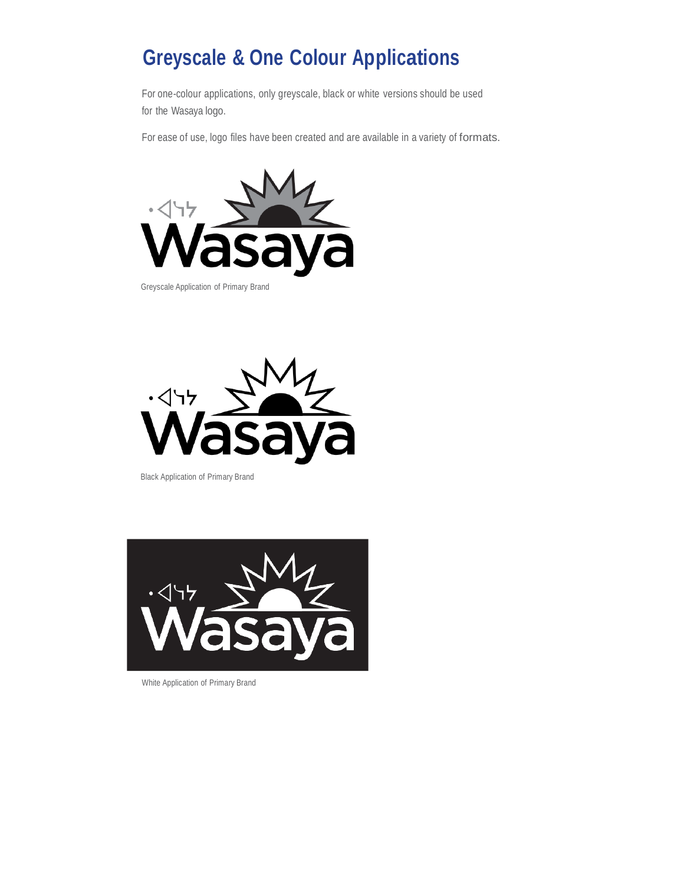# **Greyscale & One Colour Applications**

For one-colour applications, only greyscale, black or white versions should be used for the Wasaya logo.

For ease of use, logo files have been created and are available in a variety of formats.



Greyscale Application of Primary Brand



Black Application of Primary Brand



White Application of Primary Brand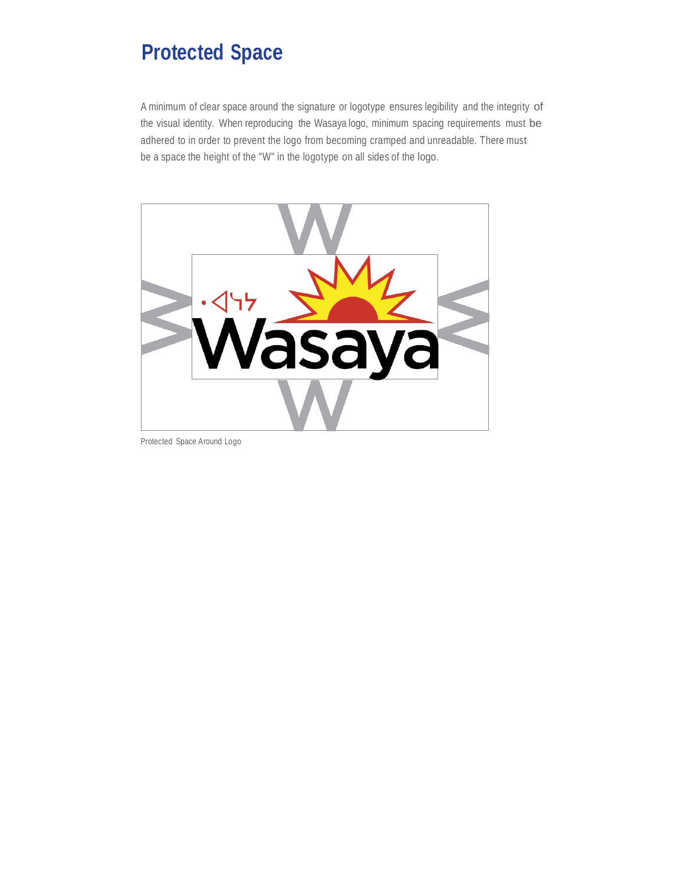## **Protected Space**

A minimum of clear space around the signature or logotype ensures legibility and the integrity of the visual identity. When reproducing the Wasaya logo, minimum spacing requirements must be adhered to in order to prevent the logo from becoming cramped and unreadable. There must be a space the height of the "W" in the logotype on all sides of the logo.



Protected Space Around Logo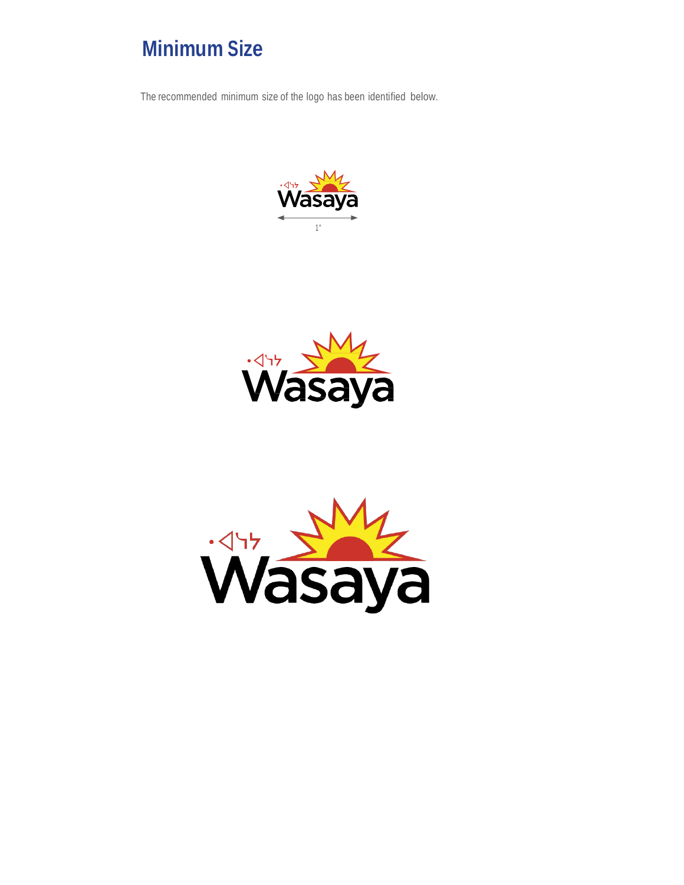## **Minimum Size**

The recommended minimum size of the logo has been identified below.